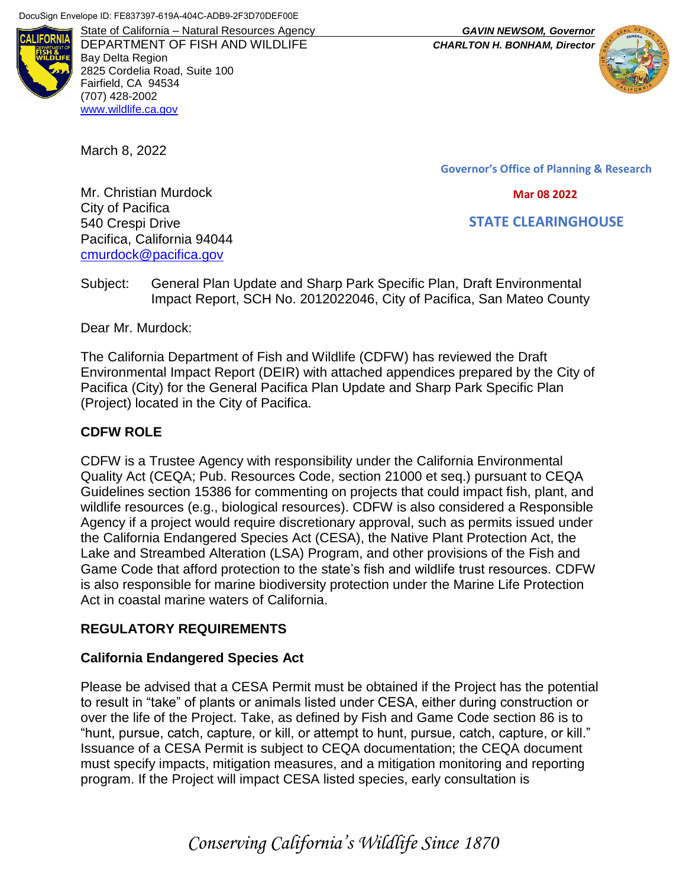

State of California – Natural Resources Agency *GAVIN NEWSOM, Governor* DEPARTMENT OF FISH AND WILDLIFE *CHARLTON H. BONHAM, Director* Bay Delta Region 2825 Cordelia Road, Suite 100 Fairfield, CA 94534 (707) 428-2002 [www.wildlife.ca.gov](http://www.wildlife.ca.gov/)

March 8, 2022

**Governor's Office of Planning & Research**

 **Mar 08 2022**

 **STATE CLEARINGHOUSE**

Mr. Christian Murdock City of Pacifica 540 Crespi Drive Pacifica, California 94044 [cmurdock@pacifica.gov](mailto:cmurdock@pacifica.gov)

Subject: General Plan Update and Sharp Park Specific Plan, Draft Environmental Impact Report, SCH No. 2012022046, City of Pacifica, San Mateo County

Dear Mr. Murdock:

The California Department of Fish and Wildlife (CDFW) has reviewed the Draft Environmental Impact Report (DEIR) with attached appendices prepared by the City of Pacifica (City) for the General Pacifica Plan Update and Sharp Park Specific Plan (Project) located in the City of Pacifica.

### **CDFW ROLE**

CDFW is a Trustee Agency with responsibility under the California Environmental Quality Act (CEQA; Pub. Resources Code, section 21000 et seq.) pursuant to CEQA Guidelines section 15386 for commenting on projects that could impact fish, plant, and wildlife resources (e.g., biological resources). CDFW is also considered a Responsible Agency if a project would require discretionary approval, such as permits issued under the California Endangered Species Act (CESA), the Native Plant Protection Act, the Lake and Streambed Alteration (LSA) Program, and other provisions of the Fish and Game Code that afford protection to the state's fish and wildlife trust resources. CDFW is also responsible for marine biodiversity protection under the Marine Life Protection Act in coastal marine waters of California.

### **REGULATORY REQUIREMENTS**

### **California Endangered Species Act**

Please be advised that a CESA Permit must be obtained if the Project has the potential to result in "take" of plants or animals listed under CESA, either during construction or over the life of the Project. Take, as defined by Fish and Game Code section 86 is to "hunt, pursue, catch, capture, or kill, or attempt to hunt, pursue, catch, capture, or kill." Issuance of a CESA Permit is subject to CEQA documentation; the CEQA document must specify impacts, mitigation measures, and a mitigation monitoring and reporting program. If the Project will impact CESA listed species, early consultation is

*Conserving California's Wildlife Since 1870*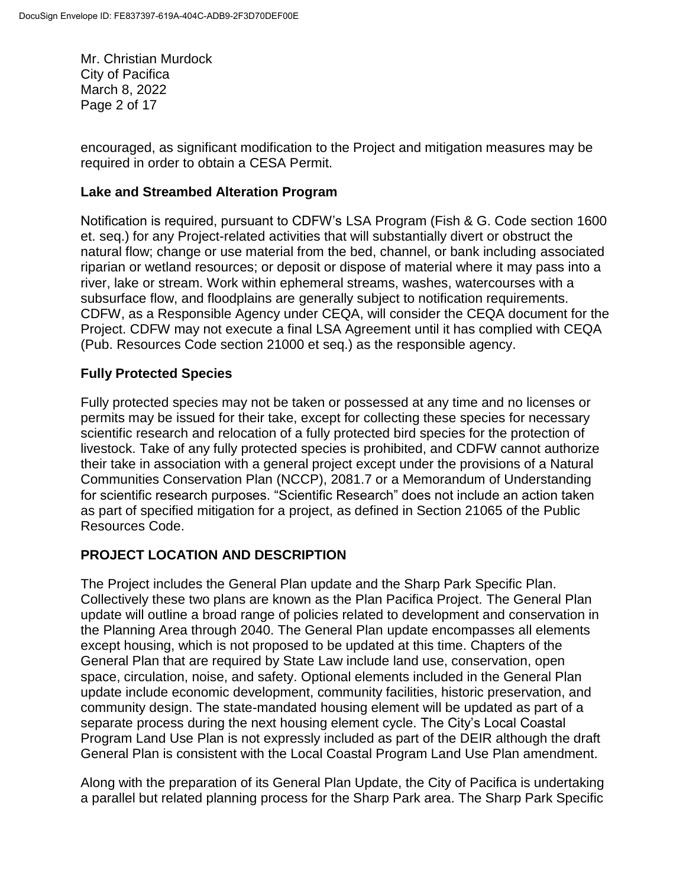Mr. Christian Murdock City of Pacifica March 8, 2022 Page 2 of 17

encouraged, as significant modification to the Project and mitigation measures may be required in order to obtain a CESA Permit.

### **Lake and Streambed Alteration Program**

Notification is required, pursuant to CDFW's LSA Program (Fish & G. Code section 1600 et. seq.) for any Project-related activities that will substantially divert or obstruct the natural flow; change or use material from the bed, channel, or bank including associated riparian or wetland resources; or deposit or dispose of material where it may pass into a river, lake or stream. Work within ephemeral streams, washes, watercourses with a subsurface flow, and floodplains are generally subject to notification requirements. CDFW, as a Responsible Agency under CEQA, will consider the CEQA document for the Project. CDFW may not execute a final LSA Agreement until it has complied with CEQA (Pub. Resources Code section 21000 et seq.) as the responsible agency.

# **Fully Protected Species**

Fully protected species may not be taken or possessed at any time and no licenses or permits may be issued for their take, except for collecting these species for necessary scientific research and relocation of a fully protected bird species for the protection of livestock. Take of any fully protected species is prohibited, and CDFW cannot authorize their take in association with a general project except under the provisions of a Natural Communities Conservation Plan (NCCP), 2081.7 or a Memorandum of Understanding for scientific research purposes. "Scientific Research" does not include an action taken as part of specified mitigation for a project, as defined in Section 21065 of the Public Resources Code.

# **PROJECT LOCATION AND DESCRIPTION**

The Project includes the General Plan update and the Sharp Park Specific Plan. Collectively these two plans are known as the Plan Pacifica Project. The General Plan update will outline a broad range of policies related to development and conservation in the Planning Area through 2040. The General Plan update encompasses all elements except housing, which is not proposed to be updated at this time. Chapters of the General Plan that are required by State Law include land use, conservation, open space, circulation, noise, and safety. Optional elements included in the General Plan update include economic development, community facilities, historic preservation, and community design. The state-mandated housing element will be updated as part of a separate process during the next housing element cycle. The City's Local Coastal Program Land Use Plan is not expressly included as part of the DEIR although the draft General Plan is consistent with the Local Coastal Program Land Use Plan amendment.

Along with the preparation of its General Plan Update, the City of Pacifica is undertaking a parallel but related planning process for the Sharp Park area. The Sharp Park Specific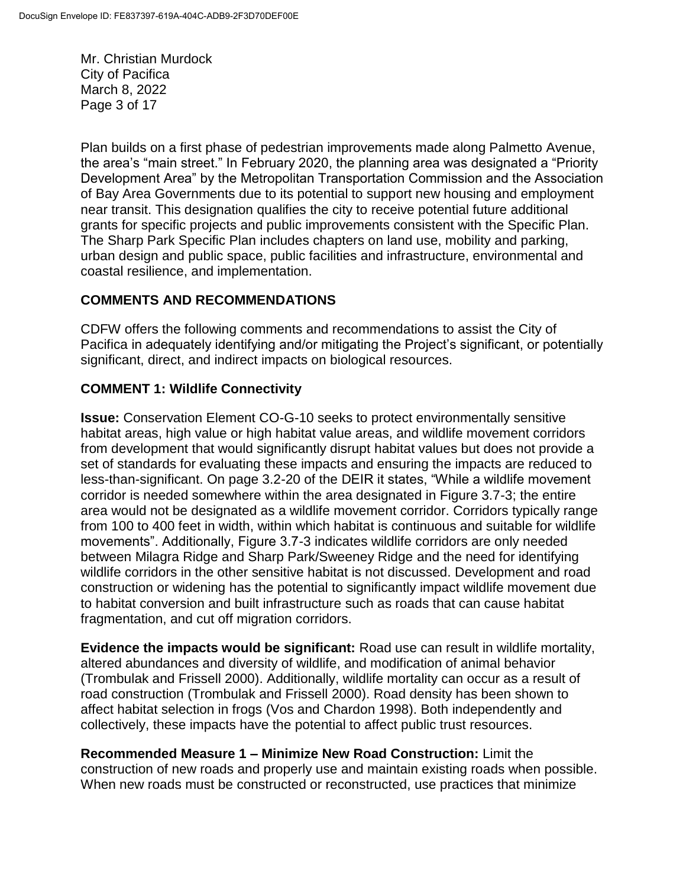Mr. Christian Murdock City of Pacifica March 8, 2022 Page 3 of 17

Plan builds on a first phase of pedestrian improvements made along Palmetto Avenue, the area's "main street." In February 2020, the planning area was designated a "Priority Development Area" by the Metropolitan Transportation Commission and the Association of Bay Area Governments due to its potential to support new housing and employment near transit. This designation qualifies the city to receive potential future additional grants for specific projects and public improvements consistent with the Specific Plan. The Sharp Park Specific Plan includes chapters on land use, mobility and parking, urban design and public space, public facilities and infrastructure, environmental and coastal resilience, and implementation.

# **COMMENTS AND RECOMMENDATIONS**

CDFW offers the following comments and recommendations to assist the City of Pacifica in adequately identifying and/or mitigating the Project's significant, or potentially significant, direct, and indirect impacts on biological resources.

# **COMMENT 1: Wildlife Connectivity**

**Issue:** Conservation Element CO-G-10 seeks to protect environmentally sensitive habitat areas, high value or high habitat value areas, and wildlife movement corridors from development that would significantly disrupt habitat values but does not provide a set of standards for evaluating these impacts and ensuring the impacts are reduced to less-than-significant. On page 3.2-20 of the DEIR it states, "While a wildlife movement corridor is needed somewhere within the area designated in Figure 3.7-3; the entire area would not be designated as a wildlife movement corridor. Corridors typically range from 100 to 400 feet in width, within which habitat is continuous and suitable for wildlife movements". Additionally, Figure 3.7-3 indicates wildlife corridors are only needed between Milagra Ridge and Sharp Park/Sweeney Ridge and the need for identifying wildlife corridors in the other sensitive habitat is not discussed. Development and road construction or widening has the potential to significantly impact wildlife movement due to habitat conversion and built infrastructure such as roads that can cause habitat fragmentation, and cut off migration corridors.

**Evidence the impacts would be significant:** Road use can result in wildlife mortality, altered abundances and diversity of wildlife, and modification of animal behavior (Trombulak and Frissell 2000). Additionally, wildlife mortality can occur as a result of road construction (Trombulak and Frissell 2000). Road density has been shown to affect habitat selection in frogs (Vos and Chardon 1998). Both independently and collectively, these impacts have the potential to affect public trust resources.

**Recommended Measure 1 – Minimize New Road Construction:** Limit the construction of new roads and properly use and maintain existing roads when possible. When new roads must be constructed or reconstructed, use practices that minimize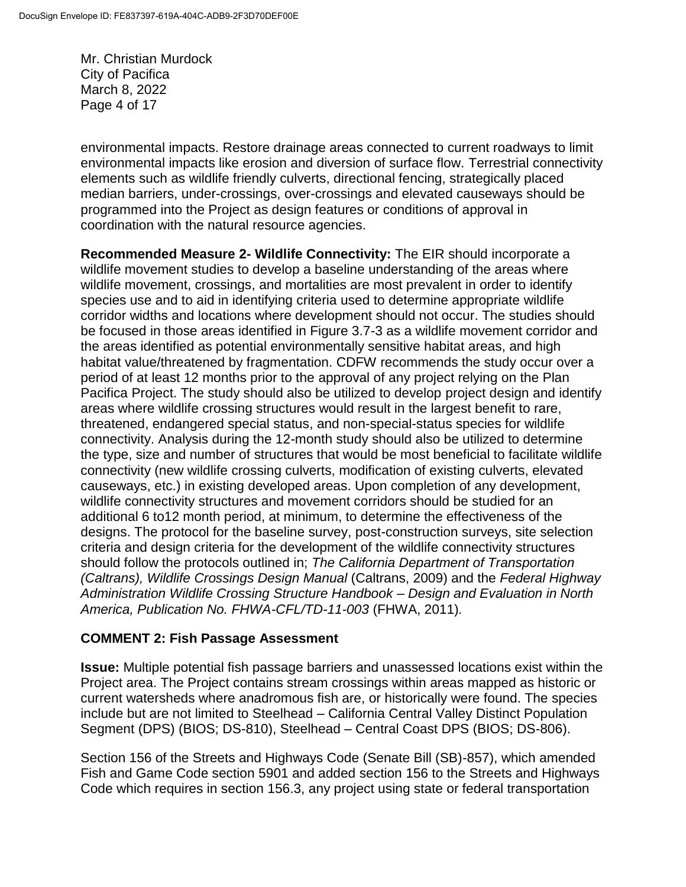Mr. Christian Murdock City of Pacifica March 8, 2022 Page 4 of 17

environmental impacts. Restore drainage areas connected to current roadways to limit environmental impacts like erosion and diversion of surface flow. Terrestrial connectivity elements such as wildlife friendly culverts, directional fencing, strategically placed median barriers, under-crossings, over-crossings and elevated causeways should be programmed into the Project as design features or conditions of approval in coordination with the natural resource agencies.

**Recommended Measure 2- Wildlife Connectivity:** The EIR should incorporate a wildlife movement studies to develop a baseline understanding of the areas where wildlife movement, crossings, and mortalities are most prevalent in order to identify species use and to aid in identifying criteria used to determine appropriate wildlife corridor widths and locations where development should not occur. The studies should be focused in those areas identified in Figure 3.7-3 as a wildlife movement corridor and the areas identified as potential environmentally sensitive habitat areas, and high habitat value/threatened by fragmentation. CDFW recommends the study occur over a period of at least 12 months prior to the approval of any project relying on the Plan Pacifica Project. The study should also be utilized to develop project design and identify areas where wildlife crossing structures would result in the largest benefit to rare, threatened, endangered special status, and non-special-status species for wildlife connectivity. Analysis during the 12-month study should also be utilized to determine the type, size and number of structures that would be most beneficial to facilitate wildlife connectivity (new wildlife crossing culverts, modification of existing culverts, elevated causeways, etc.) in existing developed areas. Upon completion of any development, wildlife connectivity structures and movement corridors should be studied for an additional 6 to12 month period, at minimum, to determine the effectiveness of the designs. The protocol for the baseline survey, post-construction surveys, site selection criteria and design criteria for the development of the wildlife connectivity structures should follow the protocols outlined in; *The California Department of Transportation (Caltrans), Wildlife Crossings Design Manual* (Caltrans, 2009) and the *Federal Highway Administration Wildlife Crossing Structure Handbook – Design and Evaluation in North America, Publication No. FHWA-CFL/TD-11-003* (FHWA, 2011)*.* 

### **COMMENT 2: Fish Passage Assessment**

**Issue:** Multiple potential fish passage barriers and unassessed locations exist within the Project area. The Project contains stream crossings within areas mapped as historic or current watersheds where anadromous fish are, or historically were found. The species include but are not limited to Steelhead – California Central Valley Distinct Population Segment (DPS) (BIOS; DS-810), Steelhead – Central Coast DPS (BIOS; DS-806).

Section 156 of the Streets and Highways Code (Senate Bill (SB)-857), which amended Fish and Game Code section 5901 and added section 156 to the Streets and Highways Code which requires in section 156.3, any project using state or federal transportation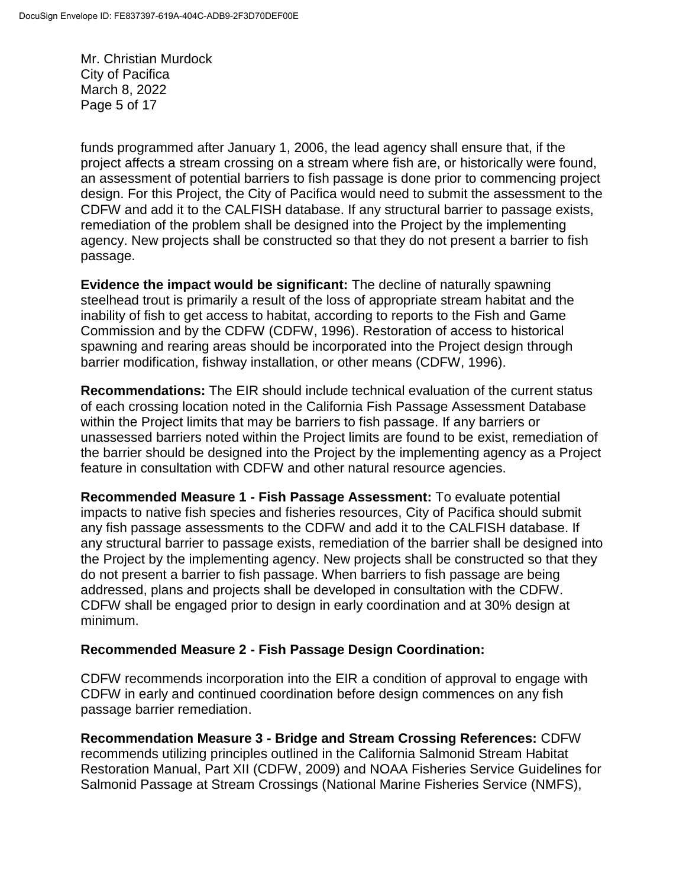Mr. Christian Murdock City of Pacifica March 8, 2022 Page 5 of 17

funds programmed after January 1, 2006, the lead agency shall ensure that, if the project affects a stream crossing on a stream where fish are, or historically were found, an assessment of potential barriers to fish passage is done prior to commencing project design. For this Project, the City of Pacifica would need to submit the assessment to the CDFW and add it to the CALFISH database. If any structural barrier to passage exists, remediation of the problem shall be designed into the Project by the implementing agency. New projects shall be constructed so that they do not present a barrier to fish passage.

**Evidence the impact would be significant:** The decline of naturally spawning steelhead trout is primarily a result of the loss of appropriate stream habitat and the inability of fish to get access to habitat, according to reports to the Fish and Game Commission and by the CDFW (CDFW, 1996). Restoration of access to historical spawning and rearing areas should be incorporated into the Project design through barrier modification, fishway installation, or other means (CDFW, 1996).

**Recommendations:** The EIR should include technical evaluation of the current status of each crossing location noted in the California Fish Passage Assessment Database within the Project limits that may be barriers to fish passage. If any barriers or unassessed barriers noted within the Project limits are found to be exist, remediation of the barrier should be designed into the Project by the implementing agency as a Project feature in consultation with CDFW and other natural resource agencies.

**Recommended Measure 1 - Fish Passage Assessment:** To evaluate potential impacts to native fish species and fisheries resources, City of Pacifica should submit any fish passage assessments to the CDFW and add it to the CALFISH database. If any structural barrier to passage exists, remediation of the barrier shall be designed into the Project by the implementing agency. New projects shall be constructed so that they do not present a barrier to fish passage. When barriers to fish passage are being addressed, plans and projects shall be developed in consultation with the CDFW. CDFW shall be engaged prior to design in early coordination and at 30% design at minimum.

### **Recommended Measure 2 - Fish Passage Design Coordination:**

CDFW recommends incorporation into the EIR a condition of approval to engage with CDFW in early and continued coordination before design commences on any fish passage barrier remediation.

**Recommendation Measure 3 - Bridge and Stream Crossing References:** CDFW recommends utilizing principles outlined in the California Salmonid Stream Habitat Restoration Manual, Part XII (CDFW, 2009) and NOAA Fisheries Service Guidelines for Salmonid Passage at Stream Crossings (National Marine Fisheries Service (NMFS),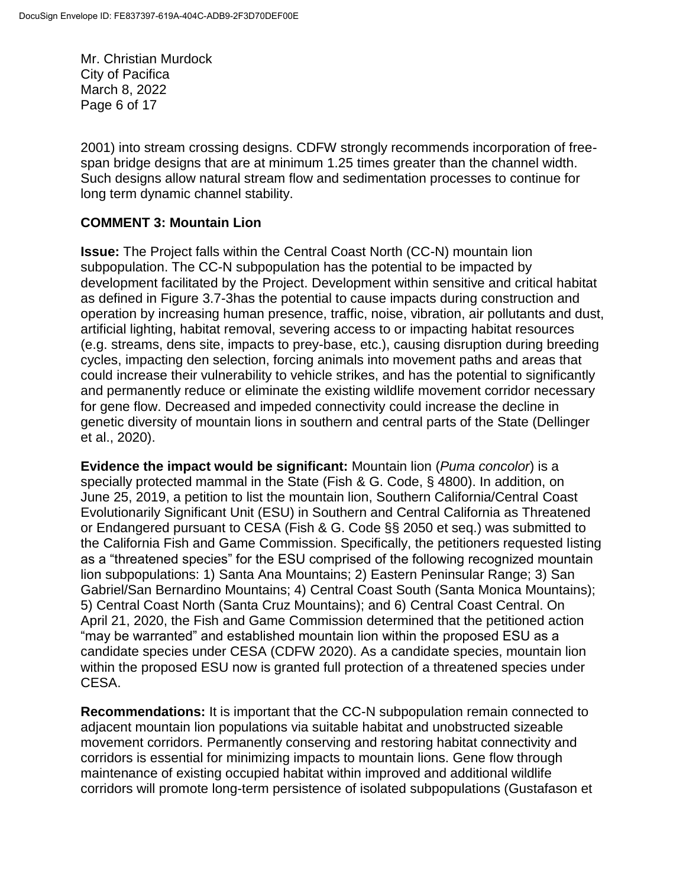Mr. Christian Murdock City of Pacifica March 8, 2022 Page 6 of 17

2001) into stream crossing designs. CDFW strongly recommends incorporation of freespan bridge designs that are at minimum 1.25 times greater than the channel width. Such designs allow natural stream flow and sedimentation processes to continue for long term dynamic channel stability.

# **COMMENT 3: Mountain Lion**

**Issue:** The Project falls within the Central Coast North (CC-N) mountain lion subpopulation. The CC-N subpopulation has the potential to be impacted by development facilitated by the Project. Development within sensitive and critical habitat as defined in Figure 3.7-3has the potential to cause impacts during construction and operation by increasing human presence, traffic, noise, vibration, air pollutants and dust, artificial lighting, habitat removal, severing access to or impacting habitat resources (e.g. streams, dens site, impacts to prey-base, etc.), causing disruption during breeding cycles, impacting den selection, forcing animals into movement paths and areas that could increase their vulnerability to vehicle strikes, and has the potential to significantly and permanently reduce or eliminate the existing wildlife movement corridor necessary for gene flow. Decreased and impeded connectivity could increase the decline in genetic diversity of mountain lions in southern and central parts of the State (Dellinger et al., 2020).

**Evidence the impact would be significant:** Mountain lion (*Puma concolor*) is a specially protected mammal in the State (Fish & G. Code, § 4800). In addition, on June 25, 2019, a petition to list the mountain lion, Southern California/Central Coast Evolutionarily Significant Unit (ESU) in Southern and Central California as Threatened or Endangered pursuant to CESA (Fish & G. Code §§ 2050 et seq.) was submitted to the California Fish and Game Commission. Specifically, the petitioners requested listing as a "threatened species" for the ESU comprised of the following recognized mountain lion subpopulations: 1) Santa Ana Mountains; 2) Eastern Peninsular Range; 3) San Gabriel/San Bernardino Mountains; 4) Central Coast South (Santa Monica Mountains); 5) Central Coast North (Santa Cruz Mountains); and 6) Central Coast Central. On April 21, 2020, the Fish and Game Commission determined that the petitioned action "may be warranted" and established mountain lion within the proposed ESU as a candidate species under CESA (CDFW 2020). As a candidate species, mountain lion within the proposed ESU now is granted full protection of a threatened species under CESA.

**Recommendations:** It is important that the CC-N subpopulation remain connected to adjacent mountain lion populations via suitable habitat and unobstructed sizeable movement corridors. Permanently conserving and restoring habitat connectivity and corridors is essential for minimizing impacts to mountain lions. Gene flow through maintenance of existing occupied habitat within improved and additional wildlife corridors will promote long-term persistence of isolated subpopulations (Gustafason et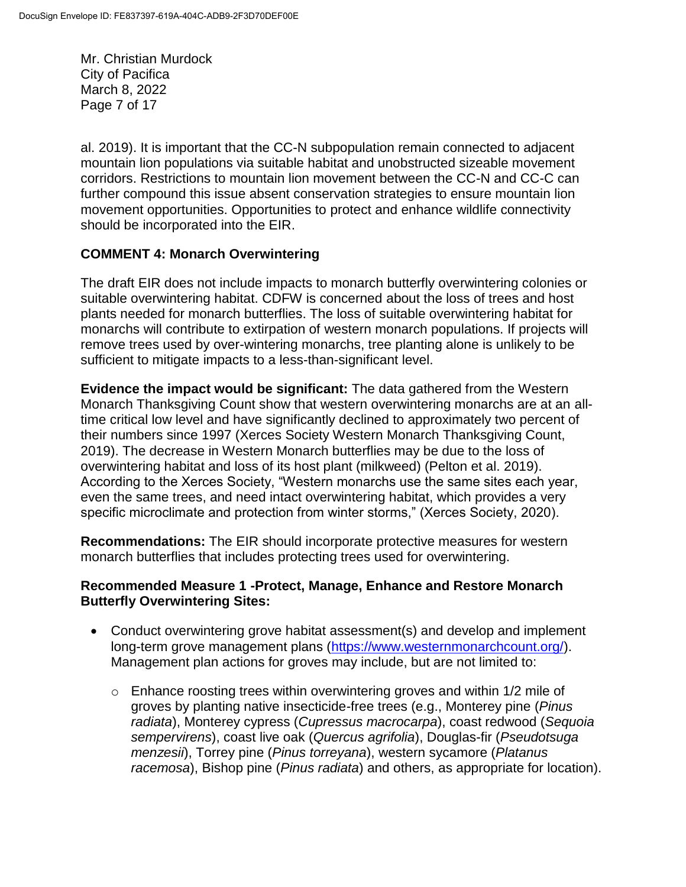Mr. Christian Murdock City of Pacifica March 8, 2022 Page 7 of 17

al. 2019). It is important that the CC-N subpopulation remain connected to adjacent mountain lion populations via suitable habitat and unobstructed sizeable movement corridors. Restrictions to mountain lion movement between the CC-N and CC-C can further compound this issue absent conservation strategies to ensure mountain lion movement opportunities. Opportunities to protect and enhance wildlife connectivity should be incorporated into the EIR.

### **COMMENT 4: Monarch Overwintering**

The draft EIR does not include impacts to monarch butterfly overwintering colonies or suitable overwintering habitat. CDFW is concerned about the loss of trees and host plants needed for monarch butterflies. The loss of suitable overwintering habitat for monarchs will contribute to extirpation of western monarch populations. If projects will remove trees used by over-wintering monarchs, tree planting alone is unlikely to be sufficient to mitigate impacts to a less-than-significant level.

**Evidence the impact would be significant:** The data gathered from the Western Monarch Thanksgiving Count show that western overwintering monarchs are at an alltime critical low level and have significantly declined to approximately two percent of their numbers since 1997 (Xerces Society Western Monarch Thanksgiving Count, 2019). The decrease in Western Monarch butterflies may be due to the loss of overwintering habitat and loss of its host plant (milkweed) (Pelton et al. 2019). According to the Xerces Society, "Western monarchs use the same sites each year, even the same trees, and need intact overwintering habitat, which provides a very specific microclimate and protection from winter storms," (Xerces Society, 2020).

**Recommendations:** The EIR should incorporate protective measures for western monarch butterflies that includes protecting trees used for overwintering.

#### **Recommended Measure 1 -Protect, Manage, Enhance and Restore Monarch Butterfly Overwintering Sites:**

- Conduct overwintering grove habitat assessment(s) and develop and implement long-term grove management plans [\(https://www.westernmonarchcount.org/\)](https://www.westernmonarchcount.org/). Management plan actions for groves may include, but are not limited to:
	- o Enhance roosting trees within overwintering groves and within 1/2 mile of groves by planting native insecticide-free trees (e.g., Monterey pine (*Pinus radiata*), Monterey cypress (*Cupressus macrocarpa*), coast redwood (*Sequoia sempervirens*), coast live oak (*Quercus agrifolia*), Douglas-fir (*Pseudotsuga menzesii*), Torrey pine (*Pinus torreyana*), western sycamore (*Platanus racemosa*), Bishop pine (*Pinus radiata*) and others, as appropriate for location).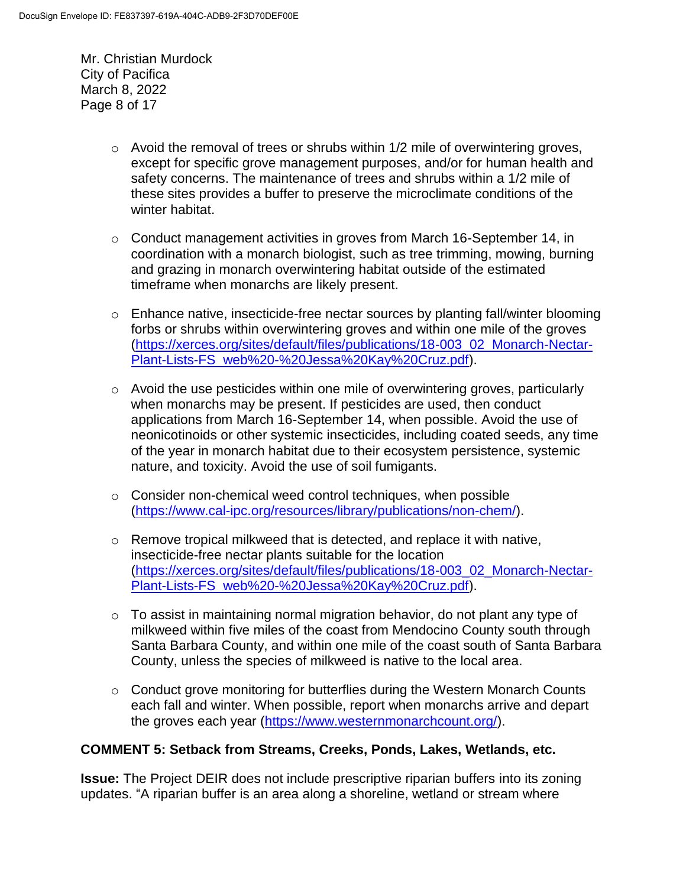Mr. Christian Murdock City of Pacifica March 8, 2022 Page 8 of 17

- $\circ$  Avoid the removal of trees or shrubs within 1/2 mile of overwintering groves, except for specific grove management purposes, and/or for human health and safety concerns. The maintenance of trees and shrubs within a 1/2 mile of these sites provides a buffer to preserve the microclimate conditions of the winter habitat.
- $\circ$  Conduct management activities in groves from March 16-September 14, in coordination with a monarch biologist, such as tree trimming, mowing, burning and grazing in monarch overwintering habitat outside of the estimated timeframe when monarchs are likely present.
- o Enhance native, insecticide-free nectar sources by planting fall/winter blooming forbs or shrubs within overwintering groves and within one mile of the groves [\(https://xerces.org/sites/default/files/publications/18-003\\_02\\_Monarch-Nectar-](https://xerces.org/sites/default/files/publications/18-003_02_Monarch-Nectar-Plant-Lists-FS_web%20-%20Jessa%20Kay%20Cruz.pdf)[Plant-Lists-FS\\_web%20-%20Jessa%20Kay%20Cruz.pdf\)](https://xerces.org/sites/default/files/publications/18-003_02_Monarch-Nectar-Plant-Lists-FS_web%20-%20Jessa%20Kay%20Cruz.pdf).
- o Avoid the use pesticides within one mile of overwintering groves, particularly when monarchs may be present. If pesticides are used, then conduct applications from March 16-September 14, when possible. Avoid the use of neonicotinoids or other systemic insecticides, including coated seeds, any time of the year in monarch habitat due to their ecosystem persistence, systemic nature, and toxicity. Avoid the use of soil fumigants.
- o Consider non-chemical weed control techniques, when possible [\(https://www.cal-ipc.org/resources/library/publications/non-chem/\)](https://www.cal-ipc.org/resources/library/publications/non-chem/).
- $\circ$  Remove tropical milkweed that is detected, and replace it with native, insecticide-free nectar plants suitable for the location [\(https://xerces.org/sites/default/files/publications/18-003\\_02\\_Monarch-Nectar-](https://xerces.org/sites/default/files/publications/18-003_02_Monarch-Nectar-Plant-Lists-FS_web%20-%20Jessa%20Kay%20Cruz.pdf)[Plant-Lists-FS\\_web%20-%20Jessa%20Kay%20Cruz.pdf\)](https://xerces.org/sites/default/files/publications/18-003_02_Monarch-Nectar-Plant-Lists-FS_web%20-%20Jessa%20Kay%20Cruz.pdf).
- $\circ$  To assist in maintaining normal migration behavior, do not plant any type of milkweed within five miles of the coast from Mendocino County south through Santa Barbara County, and within one mile of the coast south of Santa Barbara County, unless the species of milkweed is native to the local area.
- o Conduct grove monitoring for butterflies during the Western Monarch Counts each fall and winter. When possible, report when monarchs arrive and depart the groves each year [\(https://www.westernmonarchcount.org/\)](https://www.westernmonarchcount.org/).

### **COMMENT 5: Setback from Streams, Creeks, Ponds, Lakes, Wetlands, etc.**

**Issue:** The Project DEIR does not include prescriptive riparian buffers into its zoning updates. "A riparian buffer is an area along a shoreline, wetland or stream where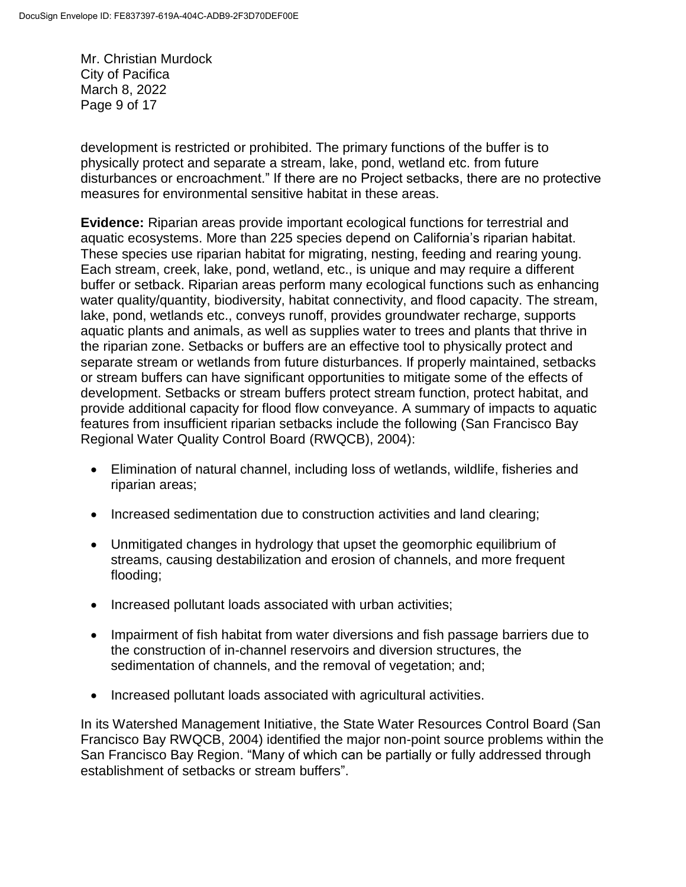Mr. Christian Murdock City of Pacifica March 8, 2022 Page 9 of 17

development is restricted or prohibited. The primary functions of the buffer is to physically protect and separate a stream, lake, pond, wetland etc. from future disturbances or encroachment." If there are no Project setbacks, there are no protective measures for environmental sensitive habitat in these areas.

**Evidence:** Riparian areas provide important ecological functions for terrestrial and aquatic ecosystems. More than 225 species depend on California's riparian habitat. These species use riparian habitat for migrating, nesting, feeding and rearing young. Each stream, creek, lake, pond, wetland, etc., is unique and may require a different buffer or setback. Riparian areas perform many ecological functions such as enhancing water quality/quantity, biodiversity, habitat connectivity, and flood capacity. The stream, lake, pond, wetlands etc., conveys runoff, provides groundwater recharge, supports aquatic plants and animals, as well as supplies water to trees and plants that thrive in the riparian zone. Setbacks or buffers are an effective tool to physically protect and separate stream or wetlands from future disturbances. If properly maintained, setbacks or stream buffers can have significant opportunities to mitigate some of the effects of development. Setbacks or stream buffers protect stream function, protect habitat, and provide additional capacity for flood flow conveyance. A summary of impacts to aquatic features from insufficient riparian setbacks include the following (San Francisco Bay Regional Water Quality Control Board (RWQCB), 2004):

- Elimination of natural channel, including loss of wetlands, wildlife, fisheries and riparian areas;
- Increased sedimentation due to construction activities and land clearing;
- Unmitigated changes in hydrology that upset the geomorphic equilibrium of streams, causing destabilization and erosion of channels, and more frequent flooding;
- Increased pollutant loads associated with urban activities;
- Impairment of fish habitat from water diversions and fish passage barriers due to the construction of in-channel reservoirs and diversion structures, the sedimentation of channels, and the removal of vegetation; and;
- Increased pollutant loads associated with agricultural activities.

In its Watershed Management Initiative, the State Water Resources Control Board (San Francisco Bay RWQCB, 2004) identified the major non-point source problems within the San Francisco Bay Region. "Many of which can be partially or fully addressed through establishment of setbacks or stream buffers".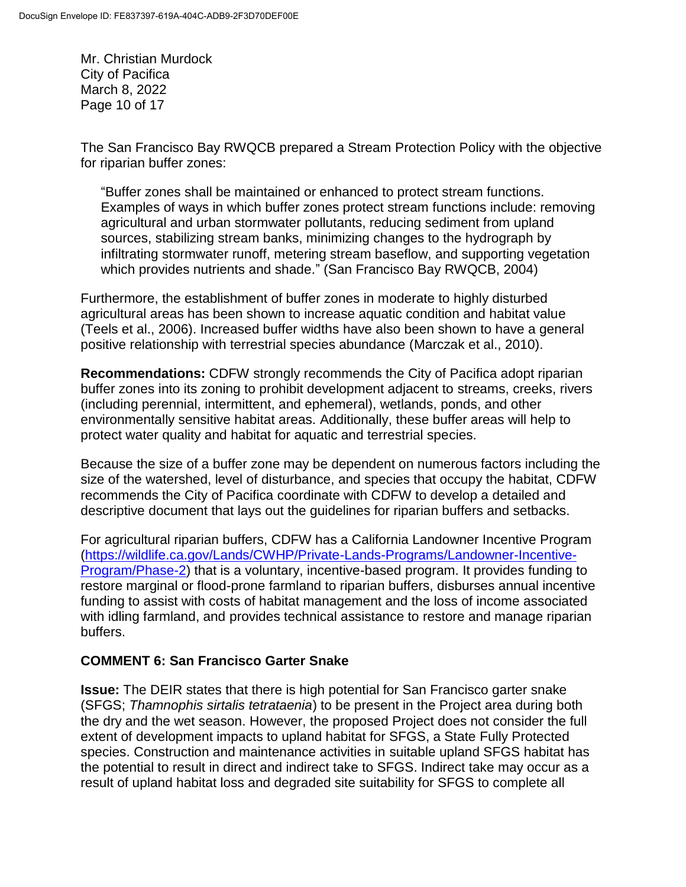Mr. Christian Murdock City of Pacifica March 8, 2022 Page 10 of 17

The San Francisco Bay RWQCB prepared a Stream Protection Policy with the objective for riparian buffer zones:

"Buffer zones shall be maintained or enhanced to protect stream functions. Examples of ways in which buffer zones protect stream functions include: removing agricultural and urban stormwater pollutants, reducing sediment from upland sources, stabilizing stream banks, minimizing changes to the hydrograph by infiltrating stormwater runoff, metering stream baseflow, and supporting vegetation which provides nutrients and shade." (San Francisco Bay RWQCB, 2004)

Furthermore, the establishment of buffer zones in moderate to highly disturbed agricultural areas has been shown to increase aquatic condition and habitat value (Teels et al., 2006). Increased buffer widths have also been shown to have a general positive relationship with terrestrial species abundance (Marczak et al., 2010).

**Recommendations:** CDFW strongly recommends the City of Pacifica adopt riparian buffer zones into its zoning to prohibit development adjacent to streams, creeks, rivers (including perennial, intermittent, and ephemeral), wetlands, ponds, and other environmentally sensitive habitat areas. Additionally, these buffer areas will help to protect water quality and habitat for aquatic and terrestrial species.

Because the size of a buffer zone may be dependent on numerous factors including the size of the watershed, level of disturbance, and species that occupy the habitat, CDFW recommends the City of Pacifica coordinate with CDFW to develop a detailed and descriptive document that lays out the guidelines for riparian buffers and setbacks.

For agricultural riparian buffers, CDFW has a California Landowner Incentive Program [\(https://wildlife.ca.gov/Lands/CWHP/Private-Lands-Programs/Landowner-Incentive-](https://wildlife.ca.gov/Lands/CWHP/Private-Lands-Programs/Landowner-Incentive-Program/Phase-2)[Program/Phase-2\)](https://wildlife.ca.gov/Lands/CWHP/Private-Lands-Programs/Landowner-Incentive-Program/Phase-2) that is a voluntary, incentive-based program. It provides funding to restore marginal or flood-prone farmland to riparian buffers, disburses annual incentive funding to assist with costs of habitat management and the loss of income associated with idling farmland, and provides technical assistance to restore and manage riparian buffers.

### **COMMENT 6: San Francisco Garter Snake**

**Issue:** The DEIR states that there is high potential for San Francisco garter snake (SFGS; *Thamnophis sirtalis tetrataenia*) to be present in the Project area during both the dry and the wet season. However, the proposed Project does not consider the full extent of development impacts to upland habitat for SFGS, a State Fully Protected species. Construction and maintenance activities in suitable upland SFGS habitat has the potential to result in direct and indirect take to SFGS. Indirect take may occur as a result of upland habitat loss and degraded site suitability for SFGS to complete all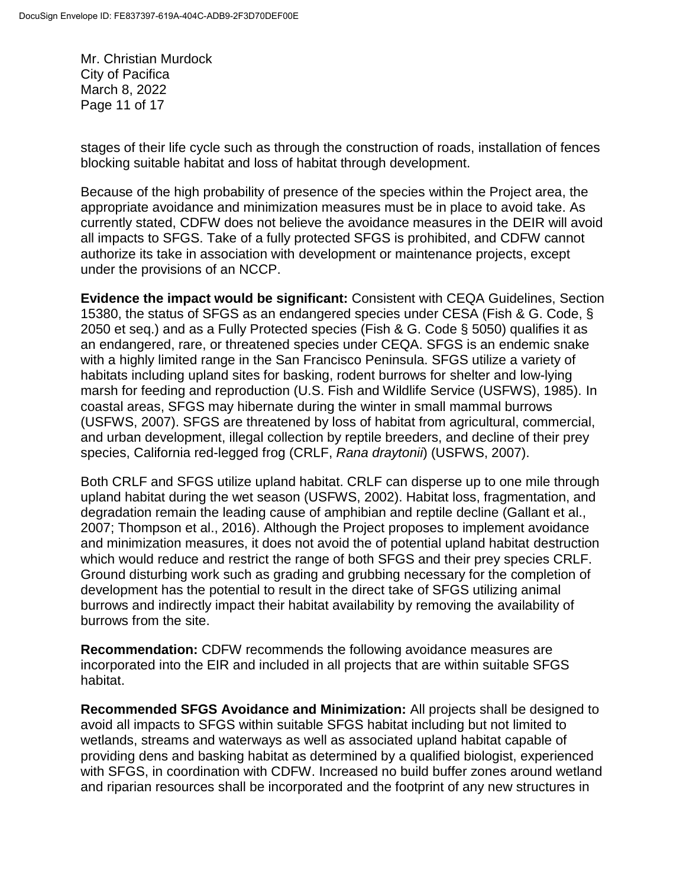Mr. Christian Murdock City of Pacifica March 8, 2022 Page 11 of 17

stages of their life cycle such as through the construction of roads, installation of fences blocking suitable habitat and loss of habitat through development.

Because of the high probability of presence of the species within the Project area, the appropriate avoidance and minimization measures must be in place to avoid take. As currently stated, CDFW does not believe the avoidance measures in the DEIR will avoid all impacts to SFGS. Take of a fully protected SFGS is prohibited, and CDFW cannot authorize its take in association with development or maintenance projects, except under the provisions of an NCCP.

**Evidence the impact would be significant:** Consistent with CEQA Guidelines, Section 15380, the status of SFGS as an endangered species under CESA (Fish & G. Code, § 2050 et seq.) and as a Fully Protected species (Fish & G. Code § 5050) qualifies it as an endangered, rare, or threatened species under CEQA. SFGS is an endemic snake with a highly limited range in the San Francisco Peninsula. SFGS utilize a variety of habitats including upland sites for basking, rodent burrows for shelter and low-lying marsh for feeding and reproduction (U.S. Fish and Wildlife Service (USFWS), 1985). In coastal areas, SFGS may hibernate during the winter in small mammal burrows (USFWS, 2007). SFGS are threatened by loss of habitat from agricultural, commercial, and urban development, illegal collection by reptile breeders, and decline of their prey species, California red-legged frog (CRLF, *Rana draytonii*) (USFWS, 2007).

Both CRLF and SFGS utilize upland habitat. CRLF can disperse up to one mile through upland habitat during the wet season (USFWS, 2002). Habitat loss, fragmentation, and degradation remain the leading cause of amphibian and reptile decline (Gallant et al., 2007; Thompson et al., 2016). Although the Project proposes to implement avoidance and minimization measures, it does not avoid the of potential upland habitat destruction which would reduce and restrict the range of both SFGS and their prey species CRLF. Ground disturbing work such as grading and grubbing necessary for the completion of development has the potential to result in the direct take of SFGS utilizing animal burrows and indirectly impact their habitat availability by removing the availability of burrows from the site.

**Recommendation:** CDFW recommends the following avoidance measures are incorporated into the EIR and included in all projects that are within suitable SFGS habitat.

**Recommended SFGS Avoidance and Minimization:** All projects shall be designed to avoid all impacts to SFGS within suitable SFGS habitat including but not limited to wetlands, streams and waterways as well as associated upland habitat capable of providing dens and basking habitat as determined by a qualified biologist, experienced with SFGS, in coordination with CDFW. Increased no build buffer zones around wetland and riparian resources shall be incorporated and the footprint of any new structures in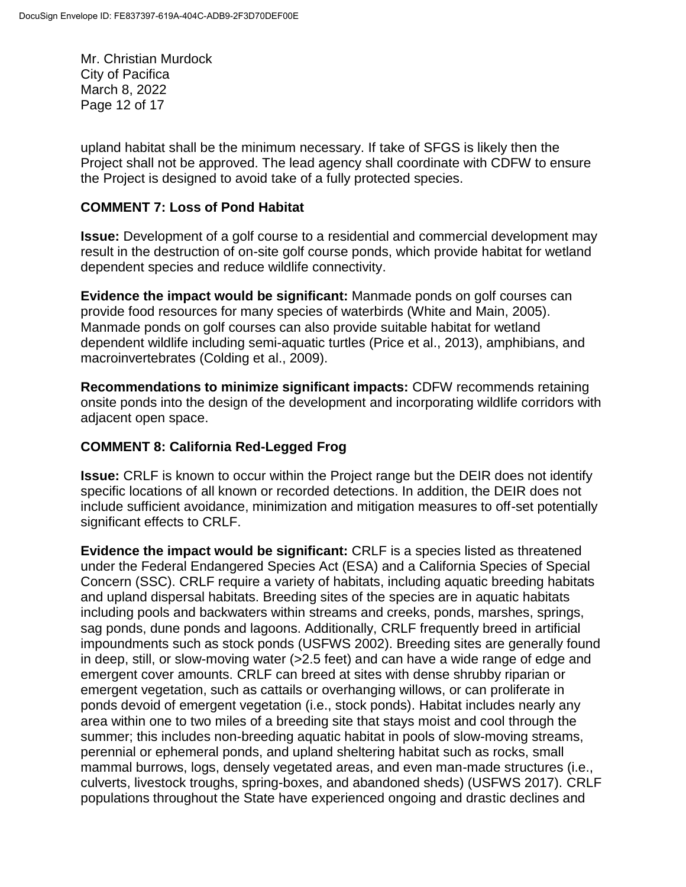Mr. Christian Murdock City of Pacifica March 8, 2022 Page 12 of 17

upland habitat shall be the minimum necessary. If take of SFGS is likely then the Project shall not be approved. The lead agency shall coordinate with CDFW to ensure the Project is designed to avoid take of a fully protected species.

### **COMMENT 7: Loss of Pond Habitat**

**Issue:** Development of a golf course to a residential and commercial development may result in the destruction of on-site golf course ponds, which provide habitat for wetland dependent species and reduce wildlife connectivity.

**Evidence the impact would be significant:** Manmade ponds on golf courses can provide food resources for many species of waterbirds (White and Main, 2005). Manmade ponds on golf courses can also provide suitable habitat for wetland dependent wildlife including semi-aquatic turtles (Price et al., 2013), amphibians, and macroinvertebrates (Colding et al., 2009).

**Recommendations to minimize significant impacts:** CDFW recommends retaining onsite ponds into the design of the development and incorporating wildlife corridors with adjacent open space.

### **COMMENT 8: California Red-Legged Frog**

**Issue:** CRLF is known to occur within the Project range but the DEIR does not identify specific locations of all known or recorded detections. In addition, the DEIR does not include sufficient avoidance, minimization and mitigation measures to off-set potentially significant effects to CRLF.

**Evidence the impact would be significant:** CRLF is a species listed as threatened under the Federal Endangered Species Act (ESA) and a California Species of Special Concern (SSC). CRLF require a variety of habitats, including aquatic breeding habitats and upland dispersal habitats. Breeding sites of the species are in aquatic habitats including pools and backwaters within streams and creeks, ponds, marshes, springs, sag ponds, dune ponds and lagoons. Additionally, CRLF frequently breed in artificial impoundments such as stock ponds (USFWS 2002). Breeding sites are generally found in deep, still, or slow-moving water (>2.5 feet) and can have a wide range of edge and emergent cover amounts. CRLF can breed at sites with dense shrubby riparian or emergent vegetation, such as cattails or overhanging willows, or can proliferate in ponds devoid of emergent vegetation (i.e., stock ponds). Habitat includes nearly any area within one to two miles of a breeding site that stays moist and cool through the summer; this includes non-breeding aquatic habitat in pools of slow-moving streams, perennial or ephemeral ponds, and upland sheltering habitat such as rocks, small mammal burrows, logs, densely vegetated areas, and even man-made structures (i.e., culverts, livestock troughs, spring-boxes, and abandoned sheds) (USFWS 2017). CRLF populations throughout the State have experienced ongoing and drastic declines and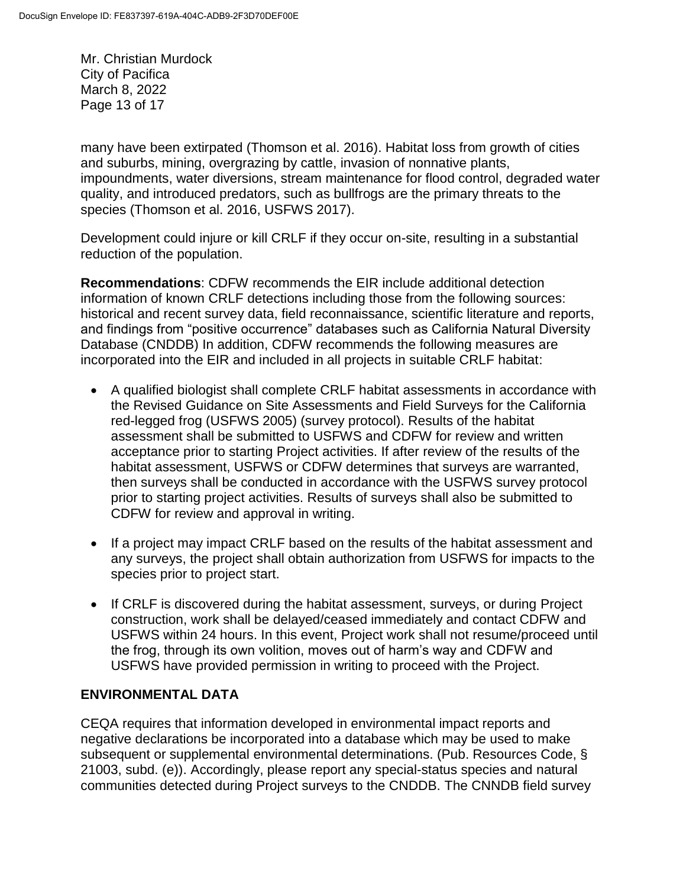Mr. Christian Murdock City of Pacifica March 8, 2022 Page 13 of 17

many have been extirpated (Thomson et al. 2016). Habitat loss from growth of cities and suburbs, mining, overgrazing by cattle, invasion of nonnative plants, impoundments, water diversions, stream maintenance for flood control, degraded water quality, and introduced predators, such as bullfrogs are the primary threats to the species (Thomson et al. 2016, USFWS 2017).

Development could injure or kill CRLF if they occur on-site, resulting in a substantial reduction of the population.

**Recommendations**: CDFW recommends the EIR include additional detection information of known CRLF detections including those from the following sources: historical and recent survey data, field reconnaissance, scientific literature and reports, and findings from "positive occurrence" databases such as California Natural Diversity Database (CNDDB) In addition, CDFW recommends the following measures are incorporated into the EIR and included in all projects in suitable CRLF habitat:

- A qualified biologist shall complete CRLF habitat assessments in accordance with the Revised Guidance on Site Assessments and Field Surveys for the California red-legged frog (USFWS 2005) (survey protocol). Results of the habitat assessment shall be submitted to USFWS and CDFW for review and written acceptance prior to starting Project activities. If after review of the results of the habitat assessment, USFWS or CDFW determines that surveys are warranted, then surveys shall be conducted in accordance with the USFWS survey protocol prior to starting project activities. Results of surveys shall also be submitted to CDFW for review and approval in writing.
- If a project may impact CRLF based on the results of the habitat assessment and any surveys, the project shall obtain authorization from USFWS for impacts to the species prior to project start.
- If CRLF is discovered during the habitat assessment, surveys, or during Project construction, work shall be delayed/ceased immediately and contact CDFW and USFWS within 24 hours. In this event, Project work shall not resume/proceed until the frog, through its own volition, moves out of harm's way and CDFW and USFWS have provided permission in writing to proceed with the Project.

### **ENVIRONMENTAL DATA**

CEQA requires that information developed in environmental impact reports and negative declarations be incorporated into a database which may be used to make subsequent or supplemental environmental determinations. (Pub. Resources Code, § 21003, subd. (e)). Accordingly, please report any special-status species and natural communities detected during Project surveys to the CNDDB. The CNNDB field survey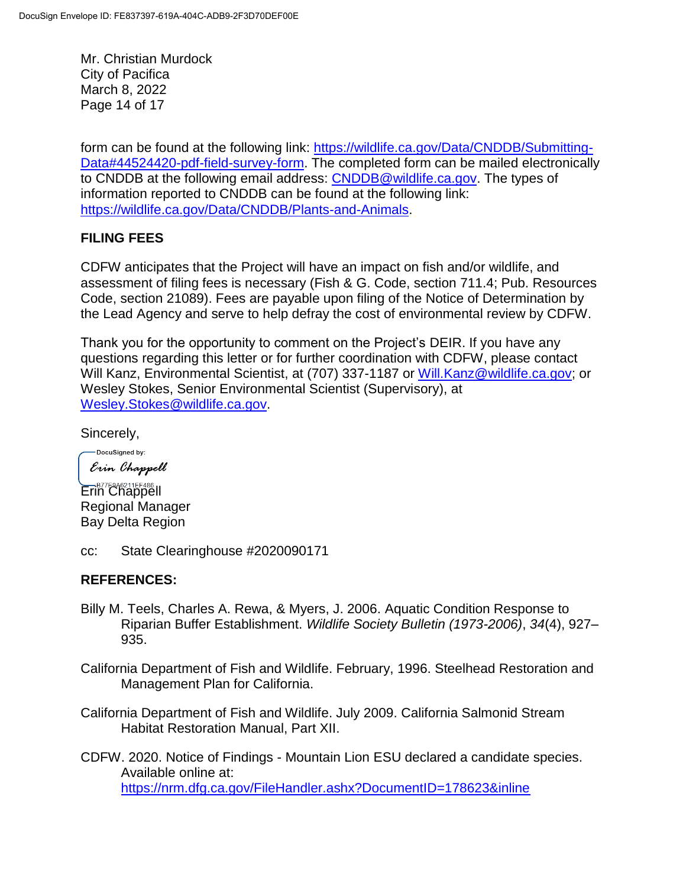Mr. Christian Murdock City of Pacifica March 8, 2022 Page 14 of 17

form can be found at the following link: [https://wildlife.ca.gov/Data/CNDDB/Submitting-](https://wildlife.ca.gov/Data/CNDDB/Submitting-Data%2344524420-pdf-field-survey-form)[Data#44524420-pdf-field-survey-form.](https://wildlife.ca.gov/Data/CNDDB/Submitting-Data%2344524420-pdf-field-survey-form) The completed form can be mailed electronically to CNDDB at the following email address: [CNDDB@wildlife.ca.gov.](mailto:cnddb@dfg.ca.gov) The types of information reported to CNDDB can be found at the following link: [https://wildlife.ca.gov/Data/CNDDB/Plants-and-Animals.](https://wildlife.ca.gov/Data/CNDDB/Plants-and-Animals)

### **FILING FEES**

CDFW anticipates that the Project will have an impact on fish and/or wildlife, and assessment of filing fees is necessary (Fish & G. Code, section 711.4; Pub. Resources Code, section 21089). Fees are payable upon filing of the Notice of Determination by the Lead Agency and serve to help defray the cost of environmental review by CDFW.

Thank you for the opportunity to comment on the Project's DEIR. If you have any questions regarding this letter or for further coordination with CDFW, please contact Will Kanz, Environmental Scientist, at (707) 337-1187 or [Will.Kanz@wildlife.ca.gov;](mailto:Will.Kanz@wildlife.ca.gov) or Wesley Stokes, Senior Environmental Scientist (Supervisory), at [Wesley.Stokes@wildlife.ca.gov.](mailto:Wesley.Stokes@wildlife.ca.gov)

Sincerely,

-DocuSigned by: Erin Chappell

Erin Chappell Regional Manager Bay Delta Region

cc: State Clearinghouse #2020090171

### **REFERENCES:**

- Billy M. Teels, Charles A. Rewa, & Myers, J. 2006. Aquatic Condition Response to Riparian Buffer Establishment. *Wildlife Society Bulletin (1973-2006)*, *34*(4), 927– 935.
- California Department of Fish and Wildlife. February, 1996. Steelhead Restoration and Management Plan for California.
- California Department of Fish and Wildlife. July 2009. California Salmonid Stream Habitat Restoration Manual, Part XII.
- CDFW. 2020. Notice of Findings Mountain Lion ESU declared a candidate species. Available online at: <https://nrm.dfg.ca.gov/FileHandler.ashx?DocumentID=178623&inline>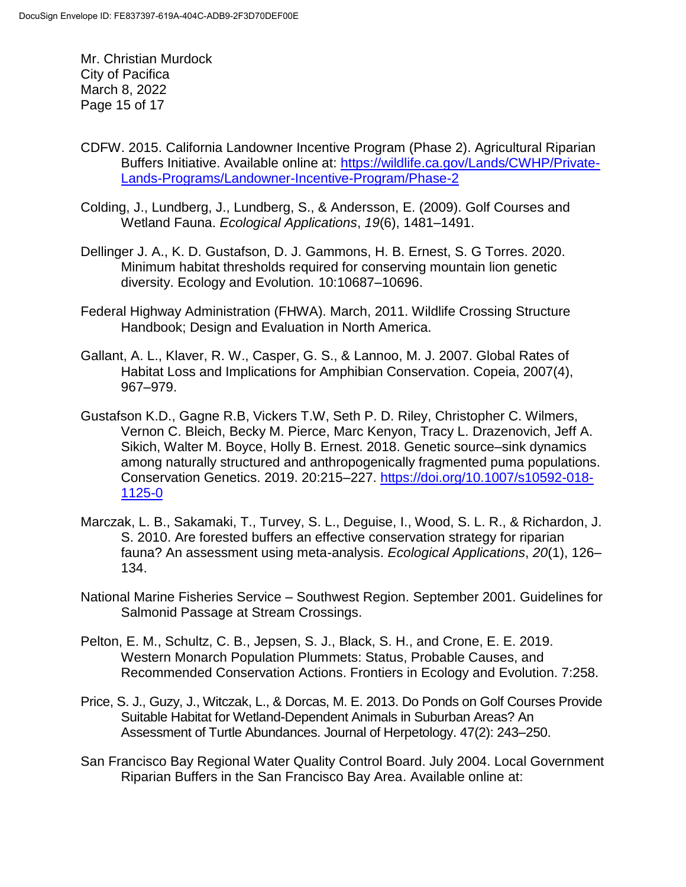Mr. Christian Murdock City of Pacifica March 8, 2022 Page 15 of 17

- CDFW. 2015. California Landowner Incentive Program (Phase 2). Agricultural Riparian Buffers Initiative. Available online at: [https://wildlife.ca.gov/Lands/CWHP/Private-](https://wildlife.ca.gov/Lands/CWHP/Private-Lands-Programs/Landowner-Incentive-Program/Phase-2)[Lands-Programs/Landowner-Incentive-Program/Phase-2](https://wildlife.ca.gov/Lands/CWHP/Private-Lands-Programs/Landowner-Incentive-Program/Phase-2)
- Colding, J., Lundberg, J., Lundberg, S., & Andersson, E. (2009). Golf Courses and Wetland Fauna. *Ecological Applications*, *19*(6), 1481–1491.
- Dellinger J. A., K. D. Gustafson, D. J. Gammons, H. B. Ernest, S. G Torres. 2020. Minimum habitat thresholds required for conserving mountain lion genetic diversity. Ecology and Evolution*.* 10:10687–10696.
- Federal Highway Administration (FHWA). March, 2011. Wildlife Crossing Structure Handbook; Design and Evaluation in North America.
- Gallant, A. L., Klaver, R. W., Casper, G. S., & Lannoo, M. J. 2007. Global Rates of Habitat Loss and Implications for Amphibian Conservation. Copeia, 2007(4), 967–979.
- Gustafson K.D., Gagne R.B, Vickers T.W, Seth P. D. Riley, Christopher C. Wilmers, Vernon C. Bleich, Becky M. Pierce, Marc Kenyon, Tracy L. Drazenovich, Jeff A. Sikich, Walter M. Boyce, Holly B. Ernest. 2018. Genetic source–sink dynamics among naturally structured and anthropogenically fragmented puma populations. Conservation Genetics. 2019. 20:215–227. [https://doi.org/10.1007/s10592-018-](https://doi.org/10.1007/s10592-018-1125-0) [1125-0](https://doi.org/10.1007/s10592-018-1125-0)
- Marczak, L. B., Sakamaki, T., Turvey, S. L., Deguise, I., Wood, S. L. R., & Richardon, J. S. 2010. Are forested buffers an effective conservation strategy for riparian fauna? An assessment using meta-analysis. *Ecological Applications*, *20*(1), 126– 134.
- National Marine Fisheries Service Southwest Region. September 2001. Guidelines for Salmonid Passage at Stream Crossings.
- Pelton, E. M., Schultz, C. B., Jepsen, S. J., Black, S. H., and Crone, E. E. 2019. Western Monarch Population Plummets: Status, Probable Causes, and Recommended Conservation Actions. Frontiers in Ecology and Evolution. 7:258.
- Price, S. J., Guzy, J., Witczak, L., & Dorcas, M. E. 2013. Do Ponds on Golf Courses Provide Suitable Habitat for Wetland-Dependent Animals in Suburban Areas? An Assessment of Turtle Abundances. Journal of Herpetology. 47(2): 243–250.
- San Francisco Bay Regional Water Quality Control Board. July 2004. Local Government Riparian Buffers in the San Francisco Bay Area. Available online at: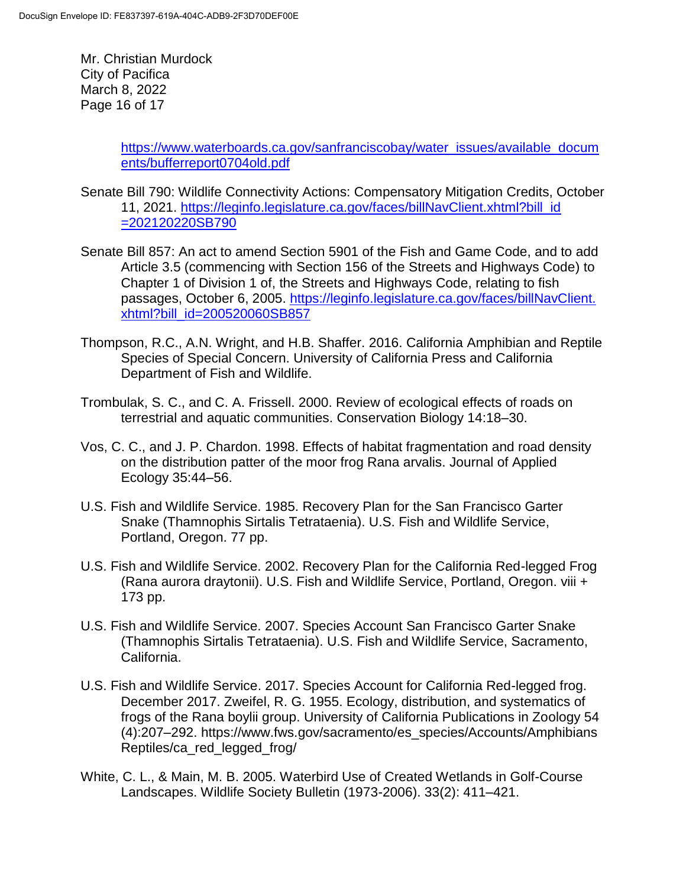Mr. Christian Murdock City of Pacifica March 8, 2022 Page 16 of 17

> [https://www.waterboards.ca.gov/sanfranciscobay/water\\_issues/available\\_docum](https://www.waterboards.ca.gov/sanfranciscobay/water_issues/available_documents/bufferreport0704old.pdf) [ents/bufferreport0704old.pdf](https://www.waterboards.ca.gov/sanfranciscobay/water_issues/available_documents/bufferreport0704old.pdf)

- Senate Bill 790: Wildlife Connectivity Actions: Compensatory Mitigation Credits, October 11, 2021. [https://leginfo.legislature.ca.gov/faces/billNavClient.xhtml?bill\\_id](https://leginfo.legislature.ca.gov/faces/billNavClient.xhtml?bill_id=202120220SB790) [=202120220SB790](https://leginfo.legislature.ca.gov/faces/billNavClient.xhtml?bill_id=202120220SB790)
- Senate Bill 857: An act to amend Section 5901 of the Fish and Game Code, and to add Article 3.5 (commencing with Section 156 of the Streets and Highways Code) to Chapter 1 of Division 1 of, the Streets and Highways Code, relating to fish passages, October 6, 2005. [https://leginfo.legislature.ca.gov/faces/billNavClient.](https://leginfo.legislature.ca.gov/faces/billNavClient.xhtml?bill_id=200520060SB857) [xhtml?bill\\_id=200520060SB857](https://leginfo.legislature.ca.gov/faces/billNavClient.xhtml?bill_id=200520060SB857)
- Thompson, R.C., A.N. Wright, and H.B. Shaffer. 2016. California Amphibian and Reptile Species of Special Concern. University of California Press and California Department of Fish and Wildlife.
- Trombulak, S. C., and C. A. Frissell. 2000. Review of ecological effects of roads on terrestrial and aquatic communities. Conservation Biology 14:18–30.
- Vos, C. C., and J. P. Chardon. 1998. Effects of habitat fragmentation and road density on the distribution patter of the moor frog Rana arvalis. Journal of Applied Ecology 35:44–56.
- U.S. Fish and Wildlife Service. 1985. Recovery Plan for the San Francisco Garter Snake (Thamnophis Sirtalis Tetrataenia). U.S. Fish and Wildlife Service, Portland, Oregon. 77 pp.
- U.S. Fish and Wildlife Service. 2002. Recovery Plan for the California Red-legged Frog (Rana aurora draytonii). U.S. Fish and Wildlife Service, Portland, Oregon. viii + 173 pp.
- U.S. Fish and Wildlife Service. 2007. Species Account San Francisco Garter Snake (Thamnophis Sirtalis Tetrataenia). U.S. Fish and Wildlife Service, Sacramento, California.
- U.S. Fish and Wildlife Service. 2017. Species Account for California Red-legged frog. December 2017. Zweifel, R. G. 1955. Ecology, distribution, and systematics of frogs of the Rana boylii group. University of California Publications in Zoology 54 (4):207–292. https://www.fws.gov/sacramento/es\_species/Accounts/Amphibians Reptiles/ca\_red\_legged\_frog/
- White, C. L., & Main, M. B. 2005. Waterbird Use of Created Wetlands in Golf-Course Landscapes. Wildlife Society Bulletin (1973-2006). 33(2): 411–421.